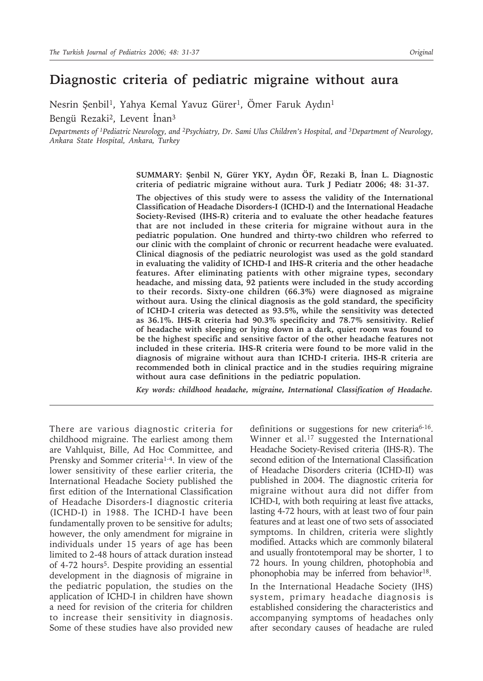# **Diagnostic criteria of pediatric migraine without aura**

Nesrin Şenbil<sup>1</sup>, Yahya Kemal Yavuz Gürer<sup>1</sup>, Ömer Faruk Aydın<sup>1</sup> Bengü Rezaki2, Levent İnan3

*Departments of 1Pediatric Neurology, and 2Psychiatry, Dr. Sami Ulus Children's Hospital, and 3Department of Neurology, Ankara State Hospital, Ankara, Turkey*

> **SUMMARY: Şenbil N, Gürer YKY, Aydın ÖF, Rezaki B, İnan L. Diagnostic criteria of pediatric migraine without aura. Turk J Pediatr 2006; 48: 31-37.**

> **The objectives of this study were to assess the validity of the International Classification of Headache Disorders-I (ICHD-I) and the International Headache Society-Revised (IHS-R) criteria and to evaluate the other headache features that are not included in these criteria for migraine without aura in the pediatric population. One hundred and thirty-two children who referred to our clinic with the complaint of chronic or recurrent headache were evaluated. Clinical diagnosis of the pediatric neurologist was used as the gold standard in evaluating the validity of ICHD-I and IHS-R criteria and the other headache features. After eliminating patients with other migraine types, secondary headache, and missing data, 92 patients were included in the study according to their records. Sixty-one children (66.3%) were diagnosed as migraine without aura. Using the clinical diagnosis as the gold standard, the specificity of ICHD-I criteria was detected as 93.5%, while the sensitivity was detected as 36.1%. IHS-R criteria had 90.3% specificity and 78.7% sensitivity. Relief of headache with sleeping or lying down in a dark, quiet room was found to be the highest specific and sensitive factor of the other headache features not included in these criteria. IHS-R criteria were found to be more valid in the diagnosis of migraine without aura than ICHD-I criteria. IHS-R criteria are recommended both in clinical practice and in the studies requiring migraine without aura case definitions in the pediatric population.**

> *Key words: childhood headache, migraine, International Classification of Headache.*

There are various diagnostic criteria for childhood migraine. The earliest among them are Vahlquist, Bille, Ad Hoc Committee, and Prensky and Sommer criteria1-4. In view of the lower sensitivity of these earlier criteria, the International Headache Society published the first edition of the International Classification of Headache Disorders-I diagnostic criteria (ICHD-I) in 1988. The ICHD-I have been fundamentally proven to be sensitive for adults; however, the only amendment for migraine in individuals under 15 years of age has been limited to 2-48 hours of attack duration instead of 4-72 hours<sup>5</sup>. Despite providing an essential development in the diagnosis of migraine in the pediatric population, the studies on the application of ICHD-I in children have shown a need for revision of the criteria for children to increase their sensitivity in diagnosis. Some of these studies have also provided new

definitions or suggestions for new criteria<sup>6-16</sup>. Winner et al.<sup>17</sup> suggested the International Headache Society-Revised criteria (IHS-R). The second edition of the International Classification of Headache Disorders criteria (ICHD-II) was published in 2004. The diagnostic criteria for migraine without aura did not differ from ICHD-I, with both requiring at least five attacks, lasting 4-72 hours, with at least two of four pain features and at least one of two sets of associated symptoms. In children, criteria were slightly modified. Attacks which are commonly bilateral and usually frontotemporal may be shorter, 1 to 72 hours. In young children, photophobia and phonophobia may be inferred from behavior<sup>18</sup>.

In the International Headache Society (IHS) system, primary headache diagnosis is established considering the characteristics and accompanying symptoms of headaches only after secondary causes of headache are ruled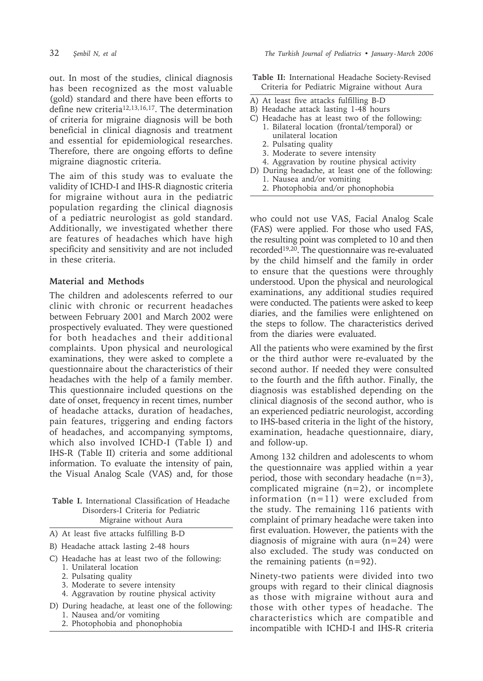out. In most of the studies, clinical diagnosis has been recognized as the most valuable (gold) standard and there have been efforts to define new criteria<sup>12,13,16,17</sup>. The determination of criteria for migraine diagnosis will be both beneficial in clinical diagnosis and treatment and essential for epidemiological researches. Therefore, there are ongoing efforts to define migraine diagnostic criteria.

The aim of this study was to evaluate the validity of ICHD-I and IHS-R diagnostic criteria for migraine without aura in the pediatric population regarding the clinical diagnosis of a pediatric neurologist as gold standard. Additionally, we investigated whether there are features of headaches which have high specificity and sensitivity and are not included in these criteria.

## **Material and Methods**

The children and adolescents referred to our clinic with chronic or recurrent headaches between February 2001 and March 2002 were prospectively evaluated. They were questioned for both headaches and their additional complaints. Upon physical and neurological examinations, they were asked to complete a questionnaire about the characteristics of their headaches with the help of a family member. This questionnaire included questions on the date of onset, frequency in recent times, number of headache attacks, duration of headaches, pain features, triggering and ending factors of headaches, and accompanying symptoms, which also involved ICHD-I (Table I) and IHS-R (Table II) criteria and some additional information. To evaluate the intensity of pain, the Visual Analog Scale (VAS) and, for those

#### **Table I.** International Classification of Headache Disorders-I Criteria for Pediatric Migraine without Aura

- A) At least five attacks fulfilling B-D
- B) Headache attack lasting 2-48 hours
- C) Headache has at least two of the following:
	- 1. Unilateral location
	- 2. Pulsating quality
	- 3. Moderate to severe intensity
	- 4. Aggravation by routine physical activity
- D) During headache, at least one of the following: 1. Nausea and/or vomiting
	- 2. Photophobia and phonophobia
- **Table II:** International Headache Society-Revised Criteria for Pediatric Migraine without Aura
- A) At least five attacks fulfilling B-D
- B) Headache attack lasting 1-48 hours
- C) Headache has at least two of the following:
	- 1. Bilateral location (frontal/temporal) or unilateral location
		- 2. Pulsating quality
	- 3. Moderate to severe intensity
	- 4. Aggravation by routine physical activity
- D) During headache, at least one of the following: 1. Nausea and/or vomiting
	- 2. Photophobia and/or phonophobia

who could not use VAS, Facial Analog Scale (FAS) were applied. For those who used FAS, the resulting point was completed to 10 and then recorded19,20. The questionnaire was re-evaluated by the child himself and the family in order to ensure that the questions were throughly understood. Upon the physical and neurological examinations, any additional studies required were conducted. The patients were asked to keep diaries, and the families were enlightened on the steps to follow. The characteristics derived from the diaries were evaluated.

All the patients who were examined by the first or the third author were re-evaluated by the second author. If needed they were consulted to the fourth and the fifth author. Finally, the diagnosis was established depending on the clinical diagnosis of the second author, who is an experienced pediatric neurologist, according to IHS-based criteria in the light of the history, examination, headache questionnaire, diary, and follow-up.

Among 132 children and adolescents to whom the questionnaire was applied within a year period, those with secondary headache (n=3), complicated migraine  $(n=2)$ , or incomplete information (n=11) were excluded from the study. The remaining 116 patients with complaint of primary headache were taken into first evaluation. However, the patients with the diagnosis of migraine with aura  $(n=24)$  were also excluded. The study was conducted on the remaining patients (n=92).

Ninety-two patients were divided into two groups with regard to their clinical diagnosis as those with migraine without aura and those with other types of headache. The characteristics which are compatible and incompatible with ICHD-I and IHS-R criteria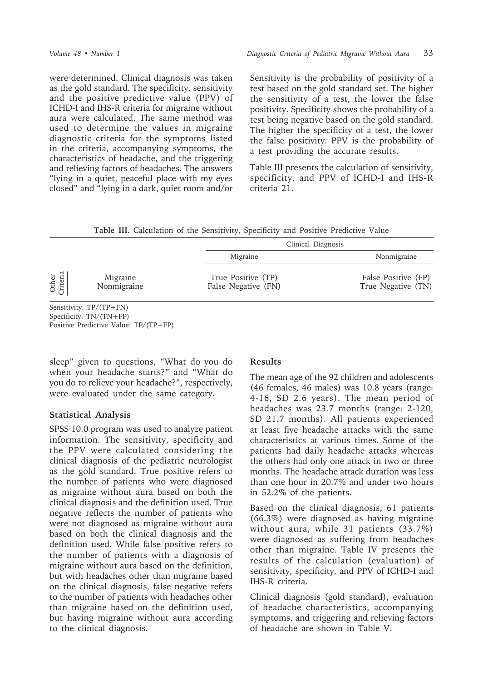were determined. Clinical diagnosis was taken as the gold standard. The specificity, sensitivity and the positive predictive value (PPV) of ICHD-I and IHS-R criteria for migraine without aura were calculated. The same method was used to determine the values in migraine diagnostic criteria for the symptoms listed in the criteria, accompanying symptoms, the characteristics of headache, and the triggering and relieving factors of headaches. The answers "lying in a quiet, peaceful place with my eyes closed" and "lying in a dark, quiet room and/or

Sensitivity is the probability of positivity of a test based on the gold standard set. The higher the sensitivity of a test, the lower the false positivity. Specificity shows the probability of a test being negative based on the gold standard. The higher the specificity of a test, the lower the false positivity. PPV is the probability of a test providing the accurate results.

Table III presents the calculation of sensitivity, specificity, and PPV of ICHD-I and IHS-R criteria 21.

**Table III.** Calculation of the Sensitivity, Specificity and Positive Predictive Value

|                   |                         | Clinical Diagnosis                        |                                           |
|-------------------|-------------------------|-------------------------------------------|-------------------------------------------|
|                   |                         | Migraine                                  | Nonmigraine                               |
| Other<br>Criteria | Migraine<br>Nonmigraine | True Positive (TP)<br>False Negative (FN) | False Positive (FP)<br>True Negative (TN) |

Sensitivity: TP/(TP+FN) Specificity: TN/(TN+FP) Positive Predictive Value: TP/(TP+FP)

sleep" given to questions, "What do you do when your headache starts?" and "What do you do to relieve your headache?", respectively, were evaluated under the same category.

#### **Statistical Analysis**

SPSS 10.0 program was used to analyze patient information. The sensitivity, specificity and the PPV were calculated considering the clinical diagnosis of the pediatric neurologist as the gold standard. True positive refers to the number of patients who were diagnosed as migraine without aura based on both the clinical diagnosis and the definition used. True negative reflects the number of patients who were not diagnosed as migraine without aura based on both the clinical diagnosis and the definition used. While false positive refers to the number of patients with a diagnosis of migraine without aura based on the definition, but with headaches other than migraine based on the clinical diagnosis, false negative refers to the number of patients with headaches other than migraine based on the definition used, but having migraine without aura according to the clinical diagnosis.

# **Results**

The mean age of the 92 children and adolescents (46 females, 46 males) was 10.8 years (range: 4-16, SD 2.6 years). The mean period of headaches was 23.7 months (range: 2-120, SD 21.7 months). All patients experienced at least five headache attacks with the same characteristics at various times. Some of the patients had daily headache attacks whereas the others had only one attack in two or three months. The headache attack duration was less than one hour in 20.7% and under two hours in 52.2% of the patients.

Based on the clinical diagnosis, 61 patients (66.3%) were diagnosed as having migraine without aura, while 31 patients (33.7%) were diagnosed as suffering from headaches other than migraine. Table IV presents the results of the calculation (evaluation) of sensitivity, specificity, and PPV of ICHD-I and IHS-R criteria.

Clinical diagnosis (gold standard), evaluation of headache characteristics, accompanying symptoms, and triggering and relieving factors of headache are shown in Table V.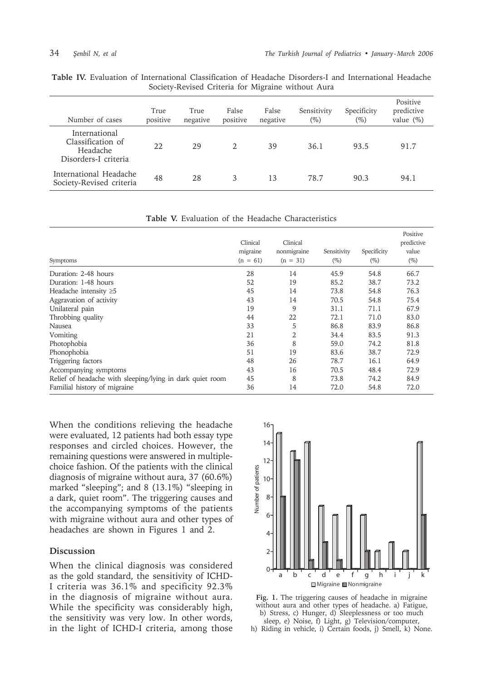|  |  |                                                    |  |  |  | <b>Table IV.</b> Evaluation of International Classification of Headache Disorders-I and International Headache |  |
|--|--|----------------------------------------------------|--|--|--|----------------------------------------------------------------------------------------------------------------|--|
|  |  | Society-Revised Criteria for Migraine without Aura |  |  |  |                                                                                                                |  |

| Number of cases                                                        | True<br>positive | True<br>negative | False<br>positive | False<br>negative | Sensitivity<br>$(\%)$ | Specificity<br>$(\%)$ | Positive<br>predictive<br>value $(\%)$ |
|------------------------------------------------------------------------|------------------|------------------|-------------------|-------------------|-----------------------|-----------------------|----------------------------------------|
| International<br>Classification of<br>Headache<br>Disorders-I criteria | 22               | 29               | $\mathfrak{D}$    | 39                | 36.1                  | 93.5                  | 91.7                                   |
| International Headache<br>Society-Revised criteria                     | 48               | 28               | 3                 | 13                | 78.7                  | 90.3                  | 94.1                                   |

**Table V.** Evaluation of the Headache Characteristics

| Symptoms                                                  | Clinical<br>migraine<br>$(n = 61)$ | Clinical<br>nonmigraine<br>$(n = 31)$ | Sensitivity<br>$(\%)$ | Specificity<br>$(\%)$ | Positive<br>predictive<br>value<br>$(\%)$ |
|-----------------------------------------------------------|------------------------------------|---------------------------------------|-----------------------|-----------------------|-------------------------------------------|
| Duration: 2-48 hours                                      | 28                                 | 14                                    | 45.9                  | 54.8                  | 66.7                                      |
| Duration: 1-48 hours                                      | 52                                 | 19                                    | 85.2                  | 38.7                  | 73.2                                      |
| Headache intensity $\geq 5$                               | 45                                 | 14                                    | 73.8                  | 54.8                  | 76.3                                      |
| Aggravation of activity                                   | 43                                 | 14                                    | 70.5                  | 54.8                  | 75.4                                      |
| Unilateral pain                                           | 19                                 | 9                                     | 31.1                  | 71.1                  | 67.9                                      |
| Throbbing quality                                         | 44                                 | 22                                    | 72.1                  | 71.0                  | 83.0                                      |
| Nausea                                                    | 33                                 | 5                                     | 86.8                  | 83.9                  | 86.8                                      |
| Vomiting                                                  | 21                                 | 2                                     | 34.4                  | 83.5                  | 91.3                                      |
| Photophobia                                               | 36                                 | 8                                     | 59.0                  | 74.2                  | 81.8                                      |
| Phonophobia                                               | 51                                 | 19                                    | 83.6                  | 38.7                  | 72.9                                      |
| Triggering factors                                        | 48                                 | 26                                    | 78.7                  | 16.1                  | 64.9                                      |
| Accompanying symptoms                                     | 43                                 | 16                                    | 70.5                  | 48.4                  | 72.9                                      |
| Relief of headache with sleeping/lying in dark quiet room | 45                                 | 8                                     | 73.8                  | 74.2                  | 84.9                                      |
| Familial history of migraine                              | 36                                 | 14                                    | 72.0                  | 54.8                  | 72.0                                      |

When the conditions relieving the headache were evaluated, 12 patients had both essay type responses and circled choices. However, the remaining questions were answered in multiplechoice fashion. Of the patients with the clinical diagnosis of migraine without aura, 37 (60.6%) marked "sleeping"; and 8 (13.1%) "sleeping in a dark, quiet room". The triggering causes and the accompanying symptoms of the patients with migraine without aura and other types of headaches are shown in Figures 1 and 2.

### **Discussion**

When the clinical diagnosis was considered as the gold standard, the sensitivity of ICHD-I criteria was 36.1% and specificity 92.3% in the diagnosis of migraine without aura. While the specificity was considerably high, the sensitivity was very low. In other words, in the light of ICHD-I criteria, among those



**Fig. 1.** The triggering causes of headache in migraine without aura and other types of headache. a) Fatigue, b) Stress, c) Hunger, d) Sleeplessness or too much sleep, e) Noise, f) Light, g) Television/computer,

h) Riding in vehicle, i) Certain foods, j) Smell, k) None.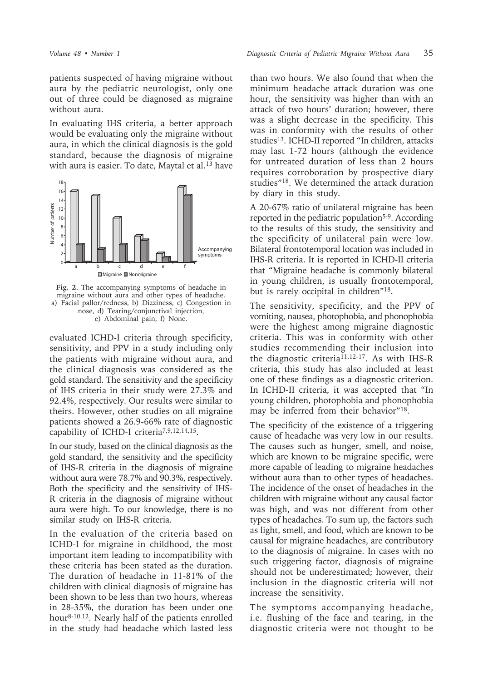patients suspected of having migraine without aura by the pediatric neurologist, only one out of three could be diagnosed as migraine without aura.

In evaluating IHS criteria, a better approach would be evaluating only the migraine without aura, in which the clinical diagnosis is the gold standard, because the diagnosis of migraine with aura is easier. To date, Maytal et al.<sup>13</sup> have



**Fig. 2.** The accompanying symptoms of headache in migraine without aura and other types of headache. a) Facial pallor/redness, b) Dizziness, c) Congestion in nose, d) Tearing/conjunctival injection, e) Abdominal pain, f) None.

evaluated ICHD-I criteria through specificity, sensitivity, and PPV in a study including only the patients with migraine without aura, and the clinical diagnosis was considered as the gold standard. The sensitivity and the specificity of IHS criteria in their study were 27.3% and 92.4%, respectively. Our results were similar to theirs. However, other studies on all migraine patients showed a 26.9-66% rate of diagnostic capability of ICHD-I criteria<sup>7,9,12,14,15</sup>.

In our study, based on the clinical diagnosis as the gold standard, the sensitivity and the specificity of IHS-R criteria in the diagnosis of migraine without aura were 78.7% and 90.3%, respectively. Both the specificity and the sensitivity of IHS-R criteria in the diagnosis of migraine without aura were high. To our knowledge, there is no similar study on IHS-R criteria.

In the evaluation of the criteria based on ICHD-I for migraine in childhood, the most important item leading to incompatibility with these criteria has been stated as the duration. The duration of headache in 11-81% of the children with clinical diagnosis of migraine has been shown to be less than two hours, whereas in 28-35%, the duration has been under one hour8-10,12. Nearly half of the patients enrolled in the study had headache which lasted less

than two hours. We also found that when the minimum headache attack duration was one hour, the sensitivity was higher than with an attack of two hours' duration; however, there was a slight decrease in the specificity. This was in conformity with the results of other studies<sup>13</sup>. ICHD-II reported "In children, attacks may last 1-72 hours (although the evidence for untreated duration of less than 2 hours requires corroboration by prospective diary studies"18. We determined the attack duration by diary in this study.

A 20-67% ratio of unilateral migraine has been reported in the pediatric population5-9. According to the results of this study, the sensitivity and the specificity of unilateral pain were low. Bilateral frontotemporal location was included in IHS-R criteria. It is reported in ICHD-II criteria that "Migraine headache is commonly bilateral in young children, is usually frontotemporal, but is rarely occipital in children"18.

The sensitivity, specificity, and the PPV of vomiting, nausea, photophobia, and phonophobia were the highest among migraine diagnostic criteria. This was in conformity with other studies recommending their inclusion into the diagnostic criteria<sup>11,12-17</sup>. As with IHS-R criteria, this study has also included at least one of these findings as a diagnostic criterion. In ICHD-II criteria, it was accepted that "In young children, photophobia and phonophobia may be inferred from their behavior"18.

The specificity of the existence of a triggering cause of headache was very low in our results. The causes such as hunger, smell, and noise, which are known to be migraine specific, were more capable of leading to migraine headaches without aura than to other types of headaches. The incidence of the onset of headaches in the children with migraine without any causal factor was high, and was not different from other types of headaches. To sum up, the factors such as light, smell, and food, which are known to be causal for migraine headaches, are contributory to the diagnosis of migraine. In cases with no such triggering factor, diagnosis of migraine should not be underestimated; however, their inclusion in the diagnostic criteria will not increase the sensitivity.

The symptoms accompanying headache, i.e. flushing of the face and tearing, in the diagnostic criteria were not thought to be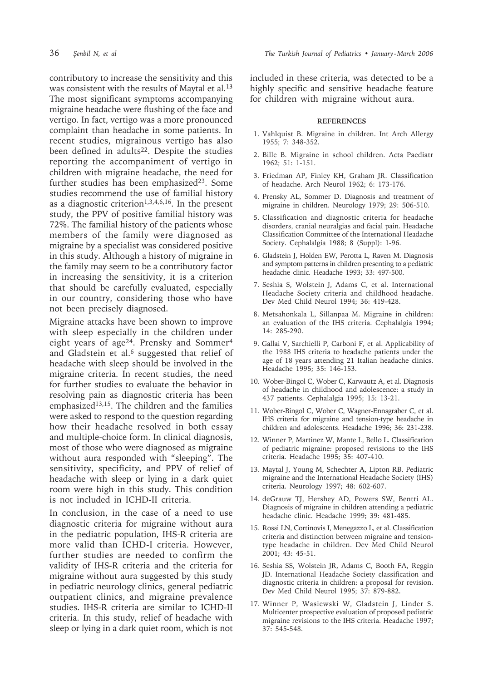contributory to increase the sensitivity and this was consistent with the results of Maytal et al.<sup>13</sup> The most significant symptoms accompanying migraine headache were flushing of the face and vertigo. In fact, vertigo was a more pronounced complaint than headache in some patients. In recent studies, migrainous vertigo has also been defined in adults<sup>22</sup>. Despite the studies reporting the accompaniment of vertigo in children with migraine headache, the need for further studies has been emphasized<sup>23</sup>. Some studies recommend the use of familial history as a diagnostic criterion<sup>1,3,4,6,16</sup>. In the present study, the PPV of positive familial history was 72%. The familial history of the patients whose members of the family were diagnosed as migraine by a specialist was considered positive in this study. Although a history of migraine in the family may seem to be a contributory factor in increasing the sensitivity, it is a criterion that should be carefully evaluated, especially in our country, considering those who have not been precisely diagnosed.

Migraine attacks have been shown to improve with sleep especially in the children under eight years of age<sup>24</sup>. Prensky and Sommer<sup>4</sup> and Gladstein et al.<sup>6</sup> suggested that relief of headache with sleep should be involved in the migraine criteria. In recent studies, the need for further studies to evaluate the behavior in resolving pain as diagnostic criteria has been emphasized13,15. The children and the families were asked to respond to the question regarding how their headache resolved in both essay and multiple-choice form. In clinical diagnosis, most of those who were diagnosed as migraine without aura responded with "sleeping". The sensitivity, specificity, and PPV of relief of headache with sleep or lying in a dark quiet room were high in this study. This condition is not included in ICHD-II criteria.

In conclusion, in the case of a need to use diagnostic criteria for migraine without aura in the pediatric population, IHS-R criteria are more valid than ICHD-I criteria. However, further studies are needed to confirm the validity of IHS-R criteria and the criteria for migraine without aura suggested by this study in pediatric neurology clinics, general pediatric outpatient clinics, and migraine prevalence studies. IHS-R criteria are similar to ICHD-II criteria. In this study, relief of headache with sleep or lying in a dark quiet room, which is not

included in these criteria, was detected to be a highly specific and sensitive headache feature for children with migraine without aura.

#### **REFERENCES**

- 1. Vahlquist B. Migraine in children. Int Arch Allergy 1955; 7: 348-352.
- 2. Bille B. Migraine in school children. Acta Paediatr 1962; 51: 1-151.
- 3. Friedman AP, Finley KH, Graham JR. Classification of headache. Arch Neurol 1962; 6: 173-176.
- 4. Prensky AL, Sommer D. Diagnosis and treatment of migraine in children. Neurology 1979; 29: 506-510.
- 5. Classification and diagnostic criteria for headache disorders, cranial neuralgias and facial pain. Headache Classification Committee of the International Headache Society. Cephalalgia 1988; 8 (Suppl): 1-96.
- 6. Gladstein J, Holden EW, Perotta L, Raven M. Diagnosis and symptom patterns in children presenting to a pediatric headache clinic. Headache 1993; 33: 497-500.
- 7. Seshia S, Wolstein J, Adams C, et al. International Headache Society criteria and childhood headache. Dev Med Child Neurol 1994; 36: 419-428.
- 8. Metsahonkala L, Sillanpaa M. Migraine in children: an evaluation of the IHS criteria. Cephalalgia 1994; 14: 285-290.
- 9. Gallai V, Sarchielli P, Carboni F, et al. Applicability of the 1988 IHS criteria to headache patients under the age of 18 years attending 21 Italian headache clinics. Headache 1995; 35: 146-153.
- 10. Wober-Bingol C, Wober C, Karwautz A, et al. Diagnosis of headache in childhood and adolescence: a study in 437 patients. Cephalalgia 1995; 15: 13-21.
- 11. Wober-Bingol C, Wober C, Wagner-Ennsgraber C, et al. IHS criteria for migraine and tension-type headache in children and adolescents. Headache 1996; 36: 231-238.
- 12. Winner P, Martinez W, Mante L, Bello L. Classification of pediatric migraine: proposed revisions to the IHS criteria. Headache 1995; 35: 407-410.
- 13. Maytal J, Young M, Schechter A, Lipton RB. Pediatric migraine and the International Headache Society (IHS) criteria. Neurology 1997; 48: 602-607.
- 14. deGrauw TJ, Hershey AD, Powers SW, Bentti AL. Diagnosis of migraine in children attending a pediatric headache clinic. Headache 1999; 39: 481-485.
- 15. Rossi LN, Cortinovis I, Menegazzo L, et al. Classification criteria and distinction between migraine and tensiontype headache in children. Dev Med Child Neurol 2001; 43: 45-51.
- 16. Seshia SS, Wolstein JR, Adams C, Booth FA, Reggin JD. International Headache Society classification and diagnostic criteria in children: a proposal for revision. Dev Med Child Neurol 1995; 37: 879-882.
- 17. Winner P, Wasiewski W, Gladstein J, Linder S. Multicenter prospective evaluation of proposed pediatric migraine revisions to the IHS criteria. Headache 1997; 37: 545-548.